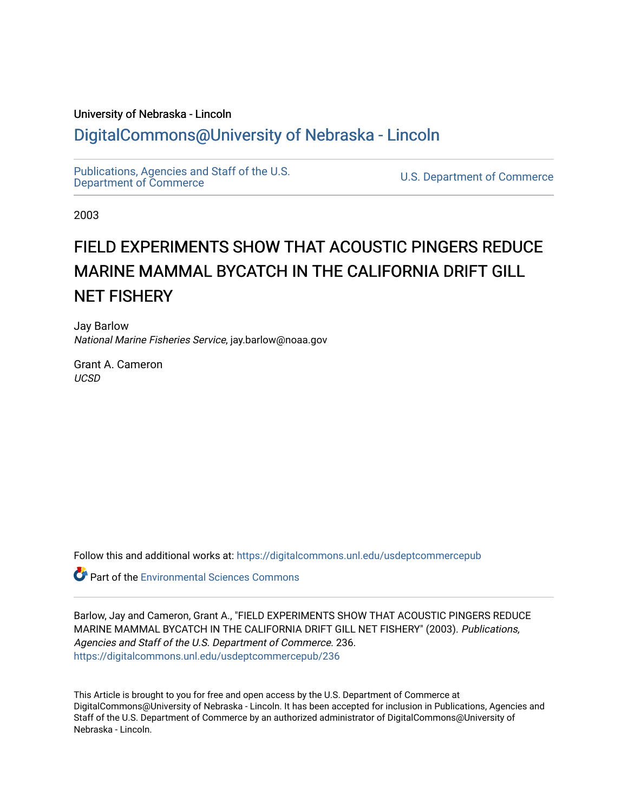# University of Nebraska - Lincoln [DigitalCommons@University of Nebraska - Lincoln](https://digitalcommons.unl.edu/)

[Publications, Agencies and Staff of the U.S.](https://digitalcommons.unl.edu/usdeptcommercepub)

U.S. [Department of Commerce](https://digitalcommons.unl.edu/usdeptcommercepub)

2003

# FIELD EXPERIMENTS SHOW THAT ACOUSTIC PINGERS REDUCE MARINE MAMMAL BYCATCH IN THE CALIFORNIA DRIFT GILL NET FISHERY

Jay Barlow National Marine Fisheries Service, jay.barlow@noaa.gov

Grant A. Cameron **UCSD** 

Follow this and additional works at: [https://digitalcommons.unl.edu/usdeptcommercepub](https://digitalcommons.unl.edu/usdeptcommercepub?utm_source=digitalcommons.unl.edu%2Fusdeptcommercepub%2F236&utm_medium=PDF&utm_campaign=PDFCoverPages)

**Part of the [Environmental Sciences Commons](http://network.bepress.com/hgg/discipline/167?utm_source=digitalcommons.unl.edu%2Fusdeptcommercepub%2F236&utm_medium=PDF&utm_campaign=PDFCoverPages)** 

Barlow, Jay and Cameron, Grant A., "FIELD EXPERIMENTS SHOW THAT ACOUSTIC PINGERS REDUCE MARINE MAMMAL BYCATCH IN THE CALIFORNIA DRIFT GILL NET FISHERY" (2003). Publications, Agencies and Staff of the U.S. Department of Commerce. 236. [https://digitalcommons.unl.edu/usdeptcommercepub/236](https://digitalcommons.unl.edu/usdeptcommercepub/236?utm_source=digitalcommons.unl.edu%2Fusdeptcommercepub%2F236&utm_medium=PDF&utm_campaign=PDFCoverPages) 

This Article is brought to you for free and open access by the U.S. Department of Commerce at DigitalCommons@University of Nebraska - Lincoln. It has been accepted for inclusion in Publications, Agencies and Staff of the U.S. Department of Commerce by an authorized administrator of DigitalCommons@University of Nebraska - Lincoln.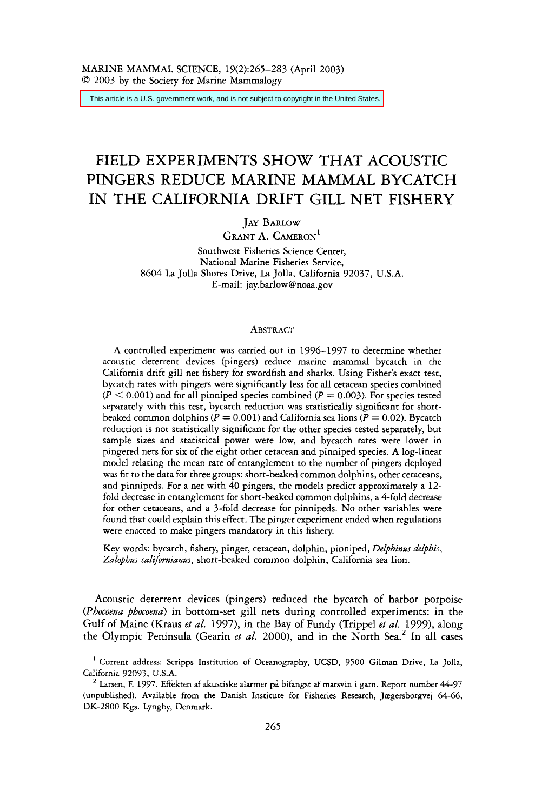This article is a U.S. government work, and is not subject to copyright in the United States.

## FIELD EXPERIMENTS SHOW THAT ACOUSTIC PINGERS REDUCE MARINE MAMMAL BYCATCH IN THE CALIFORNIA DRIFT GILL NET FISHERY

JAY BARLOW

GRANT A. CAMERON<sup>1</sup>

Southwest Fisheries Science Center, National Marine Fisheries Service, 8604 La Jolla Shores Drive, La Jolla, California 92037, U.S.A. E-mail: jay.barlow@noaa.gov

#### ABSTRACT

A controlled experiment was carried out in 1996-1997 to determine whether acoustic deterrent devices (pingers) reduce marine mammal bycatch in the California drift gill net fishery for swordfish and sharks. Using Fisher's exact test, bycatch rates with pingers were significantly **less** for all cetacean species combined  $(P \le 0.001)$  and for all pinniped species combined  $(P = 0.003)$ . For species tested separately with this test, bycatch reduction was statistically significant for shortbeaked common dolphins  $(P = 0.001)$  and California sea lions  $(P = 0.02)$ . Bycatch reduction is not statistically significant for the other species tested separately, but sample sizes and statistical power were low, and bycatch rates were lower in pingered nets for six of the eight other cetacean and pinniped species. A log-linear model relating the mean rate of entanglement to the number of pingers deployed was fit to the data for three groups: short-beaked common dolphins, other cetaceans, and pinnipeds. For a net with 40 pingers, the models predict approximately a 12 fold decrease in entanglement for short-beaked common dolphins, a 4-fold decrease for other cetaceans, and a 3-fold decrease for pinnipeds. No other variables were found that could explain this effect. The pinger experiment ended when regulations were enacted to make pingers mandatory in this fishery.

Key words: bycatch, fishery, pinger, cetacean, dolphin, pinniped, *Delphinus delphis, Zalopbus califonianus,* short-beaked common dolphin, California sea lion.

Acoustic deterrent devices (pingers) reduced the bycatch of harbor porpoise *(Pbocoena pbocoena)* in bottom-set gill nets during controlled experiments: in the Gulf of Maine (Kraus *et al.* 1997), in the Bay of Fundy (Trippel *et a[.* 1999), along the Olympic Peninsula (Gearin *et al.* 2000), and in the North Sea.<sup>2</sup> In all cases

Current address: Scripps Institution of Oceanography, UCSD, *9500* Gilman Drive, La Jolla, California 92093, U.S.A. ' Larsen, F. 1997. Effekten af akustiske alarmer **pb** bifangst af marsvin i garn. Report number *44-97* 

<sup>(</sup>unpublished). Available from the Danish Institute for Fisheries Research, Jægersborgvej 64-66, DK-2800 Kgs. Lyngby, Denmark.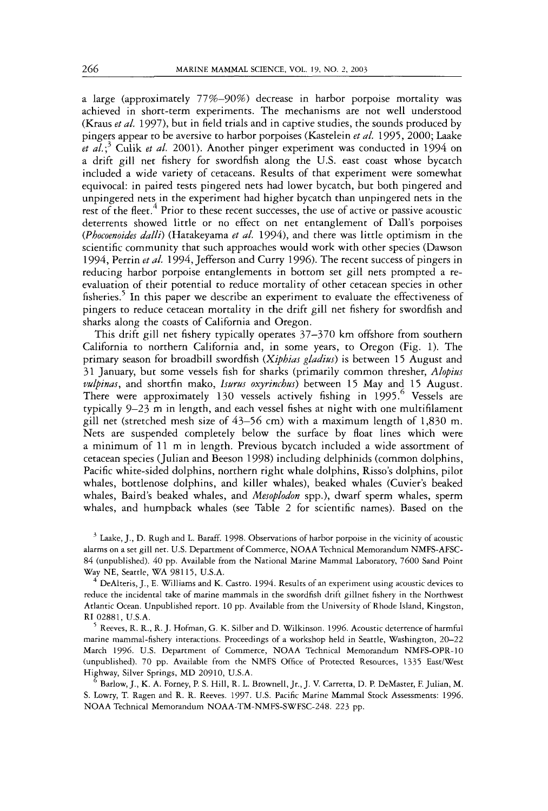**a** large (approximately 77%-90%) decrease in harbor porpoise mortality was achieved in short-term experiments. The mechanisms are not well understood (Kraus *et al.* 1997), but in field trials and in captive studies, the sounds produced by pingers appear to be aversive to harbor porpoises (Kastelein *et al.* 1995, 2000; Laake *et al.*;<sup>3</sup> Culik *et al.* 2001). Another pinger experiment was conducted in 1994 on **a** drift gill net fishery for swordfish along the US. east coast whose bycatch included a wide variety of cetaceans. Results of that experiment were somewhat equivocal: in paired tests pingered nets had lower bycatch, but both pingered and unpingered nets in the experiment had higher bycatch than unpingered nets in the rest of the fleet.<sup>4</sup> Prior to these recent successes, the use of active or passive acoustic deterrents showed lirrle or no effect on net entanglement of Dall's porpoises *(Phocoenoides dalli)* (Hatakeyama *et al.* 1994), and there was little optimism in the scientific community that such approaches would work with other species (Dawson 1994, Perrin *et al.* 1994, Jefferson and Curry 1996). The recent success of pingers in reducing harbor porpoise entanglements in bottom set gill nets prompted **a** reevaluation of their potential to reduce mortality of other cetacean species in other fisheries.5 In this paper we describe an experiment to evaluate the effectiveness of pingers to reduce cetacean mortality in the drift gill net fishery for swordfish and sharks along the coasts of California and Oregon.

This drift gill net fishery typically operates 37-370 km offshore from southern California to northern California and, in some years, to Oregon (Fig. 1). The primary season for broadbill swordfish *(Xiphias gladius)* is between 15 August and 3 1 January, but some vessels fish for sharks (primarily common thresher, *Alopizis vulpinas,* and shortfin mako, *Iwrus oxyrinchw)* between 15 May and 15 August. There were approximately 130 vessels actively fishing in 1995.<sup>6</sup> Vessels are typically 9-23 m in length, and each vessel fishes at night with one multifilament gill net (stretched mesh size of 43-56 cm) with **a** maximum length of 1,830 m. Nets are suspended completely below the surface by float lines which were a minimum of 11 m in length. Previous bycatch included a wide assortment of cetacean species (Julian and Beeson 1998) including delphinids (common dolphins, Pacific white-sided dolphins, northern right whale dolphins, Risso's dolphins, pilot whales, bottlenose dolphins, and killer whales), beaked whales (Cuvier's beaked whales, Baird's beaked whales, and *Mesoplodon* spp.), dwarf sperm whales, sperm whales, and humpback whales (see Table 2 for scientific names). Based on the

<sup>3</sup> Laake, J., D. Rugh and L. Baraff. 1998. Observations of harbor porpoise in the vicinity of acoustic alarms on a set gill net. U.S. Department of Commerce, NOAA Technical Memorandum NMFS-AFSC-84 (unpublished). 40 pp. Available from the National Marine Mammal Laboratory, 7600 Sand Point Way NE, Seattle, WA 98115, U.S.A.

DeAlteris, J., E. Williams and K. Castro. 1994. Results of an experiment using acoustic devices to reduce the incidental take of marine mammals in the swordfish drift gillnet fishery in the Northwest Atlantic Ocean. Unpublished report. 10 pp. Available from the University of Rhode Island, Kingston, **RI** 02881, U.S.A.

 $^5$  Reeves, R. R., R. J. Hofman, G. K. Silber and D. Wilkinson. 1996. Acoustic deterrence of harmful marine mammal-fishery interactions. Proceedings of a workshop held in Seattle, Washington, 20-22 March 1996. U.S. Department of Commerce, NOAA Technical Memorandum NMFS-OPR-10 (unpublished). 70 pp. Available from the NMFS Office of Protected Resources, 1335 East/West Highway, Silver Springs, MD 20910, U.S.A.

Barlow, J., K. A. Forney, P. S. Hill, R. L. Brownell, Jr., J. **V.** Carretta, D. **P.** DeMaster, F. Julian, M. S. Lowry, T. Ragen and R. R. Reeves. 1997. US. Pacific Marine Mammal Stock Assessments: 1996. NOAA Technical Memorandum NOAA-TM-NMFS-SWFSC-248. 223 pp.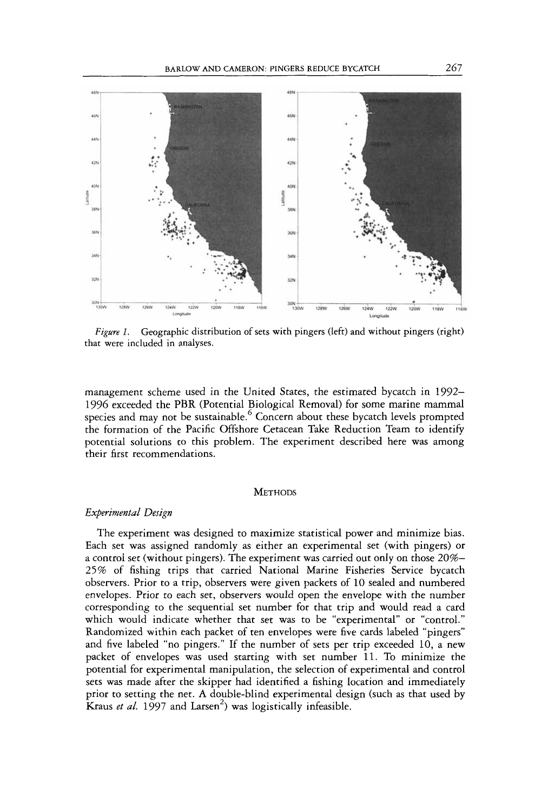

*Figure 1.* Geographic distribution of sets with pingers (left) and without pingers (right) that were included in analyses.

management scheme used in the United States, the estimated bycatch in 1992- 1996 exceeded the PBR (Potential Biological Removal) for some marine mammal species and may not be sustainable.<sup>6</sup> Concern about these bycatch levels prompted the formation of the Pacific Offshore Cetacean Take Reduction Team to identify potential solutions to this problem. The experiment described here was among their first recommendations.

#### **METHODS**

#### *Experimental Design*

The experiment was designed to maximize statistical power and minimize bias. Each set was assigned randomly as either an experimental set (with pingers) or a control set (without pingers). The experiment was carried out only on those 20%- 25 % of fishing trips that carried National Marine Fisheries Service bycatch observers. Prior to a trip, observers were given packets of 10 sealed and numbered envelopes. Prior to each set, observers would open the envelope with the number corresponding to the sequential set number for that trip and would read a card which would indicate whether that set was to be "experimental" or "control." Randomized within each packet of ten envelopes were five cards labeled "pingers" and five labeled "no pingers." If the number of sets per trip exceeded 10, a new packet of envelopes was used starting with set number 11. To minimize the potential for experimental manipulation, the selection of experimental and control sets was made after the skipper had identified a fishing location and immediately prior to setting the net. **A** double-blind experimental design (such as that used by Kraus *et al.* 1997 and Larsen<sup>2</sup>) was logistically infeasible.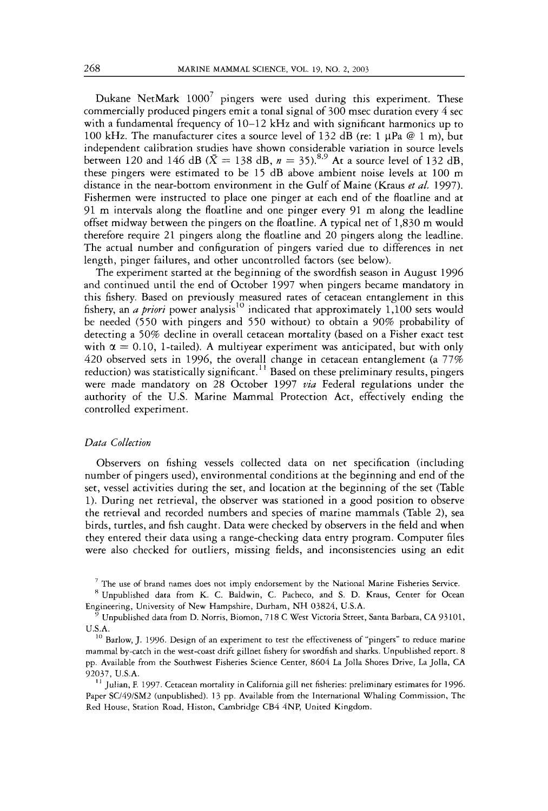Dukane NetMark  $1000^7$  pingers were used during this experiment. These commercially produced pingers emit a tonal signal of 300 msec duration every *4* sec with a fundamental frequency of 10-12 **kHz** and with significant harmonics up to 100 kHz. The manufacturer cites a source level of 132 dB (re: 1  $\mu$ Pa @ 1 m), but independent calibration studies have shown considerable variation in source levels between 120 and 146 dB  $(\bar{X} = 138 \text{ dB}, n = 35)$ .<sup>8,9</sup> At a source level of 132 dB, these pingers were estimated to be 15 dB above ambient noise levels at 100 m distance in the near-bottom environment in the Gulf of Maine (Kraus *et al.* 1997). Fishermen were instructed to place one pinger at each end of the floatline and at 91 m intervals along the floatline and one pinger every 91 m along the leadline offset midway between the pingers on the floatline. **A** typical net of 1,830 m would therefore require 21 pingers along the floatline and 20 pingers along the leadline. The actual number and configuration of pingers varied due to differences in net length, pinget failures, and other uncontrolled factors (see below).

The experiment started at the beginning of the swordfish season in August 1996 and continued until the end of October 1997 when pingers became mandatory in this fishery. Based on previously measured rates of cetacean entanglement in this fishery, an *a priori* power analysis<sup>10</sup> indicated that approximately 1,100 sets would be needed *(550* with pingers and *550* without) to obtain a 90% probability of detecting a 50% decline in overall cetacean mortality (based on a Fisher exact test with  $\alpha = 0.10$ , 1-tailed). A multiyear experiment was anticipated, but with only *420* observed sets in 1996, the overall change in cetacean entanglement (a 77% reduction) was statistically significant.<sup>11</sup> Based on these preliminary results, pingers were made mandatory on 28 October 1997 *via* Federal regulations under the authority of the U.S. Marine Mammal Protection Act, effectively ending the controlled experiment.

#### *Data Collection*

Observers on fishing vessels collected data on net specification (including number of pingers used), environmental conditions at the beginning and end of the set, vessel activities during the set, and location at the beginning of the set (Table 1). During net retrieval, the observer was stationed in a good position to observe the retrieval and recorded numbers and species of marine mammals (Table 2), sea birds, turtles, and fish caught. Data were checked by observers in the field and when they entered their data using a range-checking data entry program. Computer files were also checked for outliers, missing fields, and inconsistencies using an edit

<sup>&#</sup>x27; The **use** of brand names does not imply endorsement by the National Marine Fisheries Service.

<sup>\*</sup> Unpublished data from K. C. Baldwin, C. Pacheco, and S. D. Kraus, Center for Ocean

Unpublished data from D. Norris, Biomon, 718 C West Victoria Street, Santa Barbara, CA 93101, U.S.A.

 $^{10}$  Barlow, J. 1996. Design of an experiment to test the effectiveness of "pingers" to reduce marine mammal by-catch in the west-coast drift gillnet fishery for swordfish and sharks. Unpublished report. 8 pp. Available from the Southwest Fisheries Science Center, 8604 La Jolla Shores Drive, La Jolla, CA 92037, U.S.A.

Julian, F. 1997. Cetacean mortality in California gill net fisheries: preliminary estimates for 1996. **I1** Paper SC/49/SM2 (unpublished). 13 pp. Available from the International Whaling Commission, The Red House, Station Road, Histon, Cambridge CB4 4NP, United Kingdom.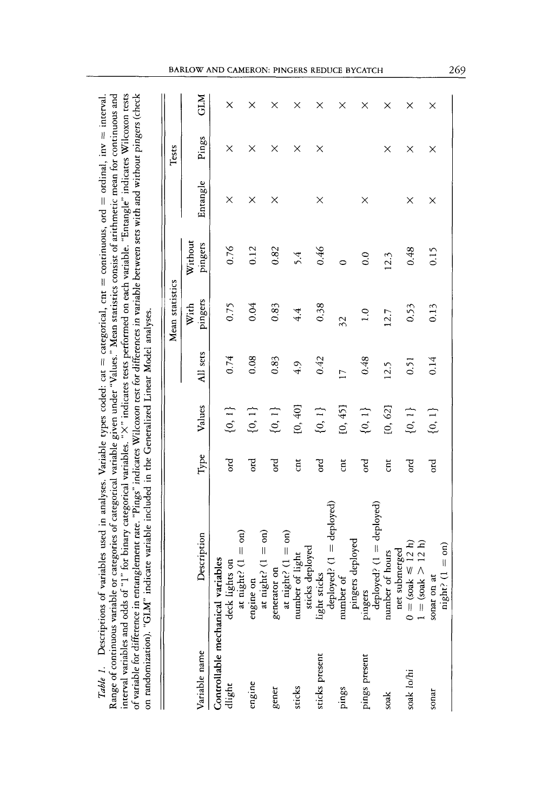| of variables used in analyses. Variable types coded: cat = categorical, cnt = continuous, ord = ordinal, inv = interval. | ble or caregories of caregorical variable given under "Values." Mean statistics consist of arithmetic mean for continuous and | of "1" for binary categorical variables. "X" indicates tests performed on each variable. "Entangle" indicates Wilcoxon tests | entanglement rate. "Pings" indicates Wilcoxon test for differences in variable between sets with and without pingers (check | indicate variable included in the Generalized Linear Model analyses. |
|--------------------------------------------------------------------------------------------------------------------------|-------------------------------------------------------------------------------------------------------------------------------|------------------------------------------------------------------------------------------------------------------------------|-----------------------------------------------------------------------------------------------------------------------------|----------------------------------------------------------------------|
|                                                                                                                          |                                                                                                                               |                                                                                                                              |                                                                                                                             |                                                                      |
|                                                                                                                          |                                                                                                                               |                                                                                                                              |                                                                                                                             |                                                                      |
|                                                                                                                          |                                                                                                                               |                                                                                                                              |                                                                                                                             |                                                                      |
|                                                                                                                          |                                                                                                                               |                                                                                                                              |                                                                                                                             |                                                                      |
|                                                                                                                          |                                                                                                                               |                                                                                                                              |                                                                                                                             |                                                                      |
|                                                                                                                          |                                                                                                                               |                                                                                                                              |                                                                                                                             |                                                                      |
|                                                                                                                          |                                                                                                                               |                                                                                                                              |                                                                                                                             |                                                                      |
| Table 1. Descriptions c                                                                                                  | lange of continuous variab.                                                                                                   | nterval variables and odds                                                                                                   | of variable for difference in                                                                                               | on randomization). "GLM"                                             |
|                                                                                                                          |                                                                                                                               |                                                                                                                              |                                                                                                                             |                                                                      |

|                         |                                                                                                                                                                                                                         |                |             |                | Mean statistics |                    |          | Tests |     |
|-------------------------|-------------------------------------------------------------------------------------------------------------------------------------------------------------------------------------------------------------------------|----------------|-------------|----------------|-----------------|--------------------|----------|-------|-----|
| Variable name           | Description                                                                                                                                                                                                             | $_{\rm Type}$  | Values      | All sets       | pingers<br>With | Without<br>pingers | Entangle | Pings | GLM |
| Controllable mechanical | ariables                                                                                                                                                                                                                |                |             |                |                 |                    |          |       |     |
| dlight                  | deck lights on                                                                                                                                                                                                          | ord            | $\{0,1\}$   | 0.74           | 0.75            | 0.76               | X        | ×     | ×   |
| engine                  | at night? $(1 = 0n)$<br>engine on<br>at night? $(1 = 0n)$<br>generator on<br>at night? $(1 = 0n)$<br>at night? $(1 = 0n)$<br>sumber of light<br>sticks deployed<br>light sticks<br>deployed? $(1 = deployed) mumber of$ | оrd            | $\{0,\,1\}$ | 0.08           | 0.04            | 0.12               | $\times$ | ×     | ×   |
|                         |                                                                                                                                                                                                                         |                |             |                |                 |                    |          |       |     |
| gener                   |                                                                                                                                                                                                                         | ढ              | $\{0,\,1\}$ | 0.83           | 0.83            | 0.82               | ×        | ×     | ×   |
|                         |                                                                                                                                                                                                                         |                |             |                |                 |                    |          |       |     |
| sticks                  |                                                                                                                                                                                                                         | $\overline{a}$ | [0, 40]     | 4.9            | 4.4             | 5.4                |          | ×     | ×   |
| sticks present          |                                                                                                                                                                                                                         | ord            | $\{0,1\}$   | 0.42           | 0.38            | 0.46               | $\times$ | ×     | ×   |
|                         |                                                                                                                                                                                                                         |                |             |                |                 |                    |          |       |     |
| pings                   |                                                                                                                                                                                                                         | $\overline{a}$ | [0, 45]     | $\overline{1}$ | $\overline{32}$ | $\bullet$          |          |       | ×   |
|                         |                                                                                                                                                                                                                         |                |             |                |                 |                    |          |       |     |
| pings present           | pingers deployed<br>pingers<br>deployed? (1 = deployed)<br>number of hours                                                                                                                                              | оrd            | $\{0,\,1\}$ | 0.48           | 1.0             | 0.0                | $\times$ |       | ×   |
|                         |                                                                                                                                                                                                                         |                |             |                |                 |                    |          |       |     |
| soak                    |                                                                                                                                                                                                                         | ā              | [0, 62]     | 12.5           | 12.7            | 12.3               |          | ×     | ×   |
|                         | net submerged                                                                                                                                                                                                           |                |             |                |                 |                    |          |       |     |
| $s$ oak $1 \sigma/hi$   |                                                                                                                                                                                                                         | ord            | $\{0,\,1\}$ | 0.51           | 0.53            | 0.48               | ×        | ×     | ×   |
|                         | $0 = (s \circ ak \leq 12 h)$<br>$1 = (s \circ ak > 12 h)$                                                                                                                                                               |                |             |                |                 |                    |          |       |     |
| sonar                   | sonar on at                                                                                                                                                                                                             | Ър             | $\{0,\,1\}$ | 0.14           | 0.13            | 0.15               | $\times$ | ×     | ×   |
|                         | $night? (1 = on)$                                                                                                                                                                                                       |                |             |                |                 |                    |          |       |     |

#### BARLOW AND CAMERON: PINGERS REDUCE BYCATCH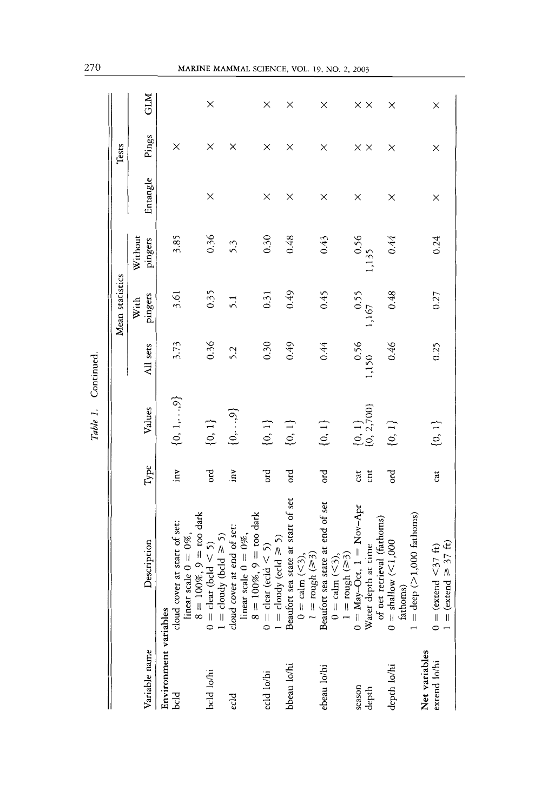|                       |                                                                                                                     |                         |                             |                                              | Mean statistics      |                    |          | Tests             |                   |
|-----------------------|---------------------------------------------------------------------------------------------------------------------|-------------------------|-----------------------------|----------------------------------------------|----------------------|--------------------|----------|-------------------|-------------------|
|                       |                                                                                                                     |                         |                             |                                              |                      |                    |          |                   |                   |
| Variable name         | Description                                                                                                         | Type                    | Values                      | All sets                                     | pingers<br>With      | Without<br>pingers | Entangle | Pings             | GLM               |
| Environment variables |                                                                                                                     |                         |                             |                                              |                      |                    |          |                   |                   |
| bcld                  | cloud cover at start of set:                                                                                        | χū,                     | $\{0,1,\ldots,9\}$          | 3.73                                         | 3.61                 | 3.85               |          | ×                 |                   |
|                       | linear scale $0 = 0\%$ ,<br>8 = 100%, 9 = too dark                                                                  |                         |                             |                                              |                      |                    |          |                   |                   |
|                       |                                                                                                                     |                         |                             |                                              |                      |                    |          |                   |                   |
| bcld lo/hi            | $0 = \text{clat} \text{ (bold} < 5)$<br>$1 = \text{cloudy} \text{ (bold } \ge 5)$<br>cloud cover at end of set:     | ord                     | ${0, 1}$                    | 0.36                                         | 0.35                 | 0.36               | $\times$ | $\times$          | $\times$          |
|                       |                                                                                                                     |                         |                             |                                              |                      |                    |          |                   |                   |
| ecld                  |                                                                                                                     | inv                     | $\{0,\ldots,9\}$            | 5.2                                          | $\overline{51}$      | 5.3                |          | ×                 |                   |
|                       | linear scale $0 = 0\%$ ,<br>8 = 100%, 9 = too dark                                                                  |                         |                             |                                              |                      |                    |          |                   |                   |
|                       |                                                                                                                     |                         |                             |                                              |                      |                    |          |                   |                   |
| ecld lo/hi            |                                                                                                                     | ord                     | $\{0,\,1\}$                 | 0.30                                         | 0.31                 | 0.30               | ×        | $\times$          | ×                 |
|                       | $0 = \text{clear} (\text{ecl} < 5)$<br>$1 = \text{cloudy} (\text{ecl} \ge 5)$<br>Beaufort sea state at start of set |                         |                             |                                              |                      |                    |          |                   |                   |
| bbeau lo/hi           |                                                                                                                     | पुर                     | $\{0, 1\}$                  | 0.49                                         | 649                  | 0.48               | $\times$ | $\times$          | ×                 |
|                       | $0 = \text{calm} (\leq 3),$<br>$1 = \text{rough} (\geq 3)$                                                          |                         |                             |                                              |                      |                    |          |                   |                   |
|                       |                                                                                                                     |                         |                             |                                              |                      |                    |          |                   |                   |
| ebeau lo/hi           | Beaufort sea state at end of set                                                                                    | ord                     | $\{0, 1\}$                  | 0.44                                         | 0.45                 | 0.43               | ×        | $\times$          | X                 |
|                       | $0 = \text{calm} (\leq 3),$                                                                                         |                         |                             |                                              |                      |                    |          |                   |                   |
|                       |                                                                                                                     |                         |                             |                                              |                      |                    |          |                   |                   |
| season                | 1 = rough ( $\geq$ 3)<br>0 = May-Oct, 1 = Nov-Apr<br>Water depth at time                                            | cat                     | $\{0, 1\}$<br>$[0, 2, 700]$ | $\begin{array}{c} 0.56 \\ 1,150 \end{array}$ | $\frac{0.55}{1,167}$ | $0.56$<br>1,135    | X        | $\times$ $\times$ | $\times$ $\times$ |
| depth                 |                                                                                                                     | $\overline{\mathrm{c}}$ |                             |                                              |                      |                    |          |                   |                   |
|                       |                                                                                                                     |                         |                             |                                              |                      |                    |          |                   |                   |
| depth lo/hi           | of net retrieval (fathoms)<br>$0 = \text{shallow} (\leq 1,000$<br>fathoms)                                          | ढू                      | $\{0, 1\}$                  | 0.46                                         | 0.48                 | 0.44               | ×        | $\times$          | ×                 |
|                       |                                                                                                                     |                         |                             |                                              |                      |                    |          |                   |                   |
|                       | $=$ deep $(>1,000$ fathoms)                                                                                         |                         |                             |                                              |                      |                    |          |                   |                   |
| Net variables         |                                                                                                                     |                         |                             |                                              |                      |                    |          |                   |                   |
| extend lo/hi          | $=$ (extend $\ge$ 37 ft)<br>$0 = (exact \leq 37 \text{ ft})$                                                        | cat                     | $\{0, 1\}$                  | 0.25                                         | 0.27                 | 0.24               | ×        | ×                 | ×                 |
|                       |                                                                                                                     |                         |                             |                                              |                      |                    |          |                   |                   |

Table 1. Continued. *Table* 1. Continued.

270

## MARINE MAMMAL SCIENCE, VOL. 19, NO. 2, 2003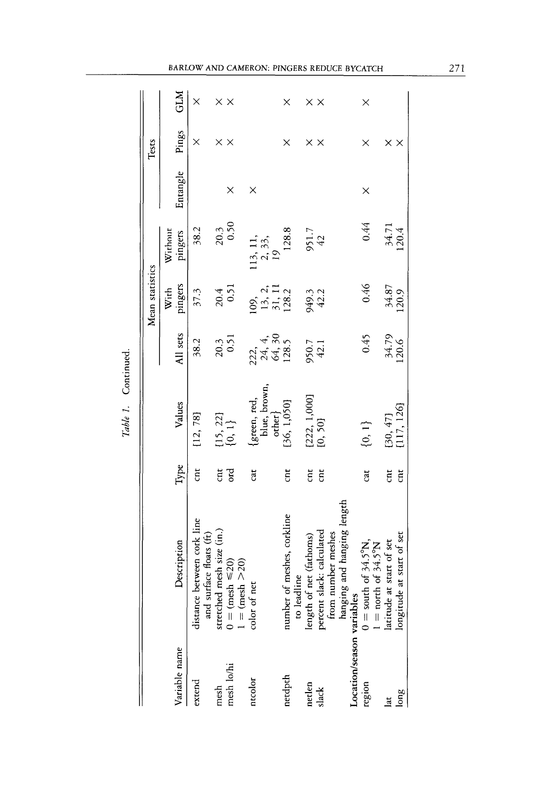|               |                                                                                                                                                                                                                   |                |                              |                                       | Mean statistics                 |                                              |          | Tests             |                   |
|---------------|-------------------------------------------------------------------------------------------------------------------------------------------------------------------------------------------------------------------|----------------|------------------------------|---------------------------------------|---------------------------------|----------------------------------------------|----------|-------------------|-------------------|
|               |                                                                                                                                                                                                                   |                |                              |                                       | With                            | Without                                      |          |                   |                   |
| Variable name | Description                                                                                                                                                                                                       | ${\rm Type}$   | Values                       | All sets                              | pingers                         | pingers                                      | Entangle | Pings             | <b>GLM</b>        |
| extend        | distance between cork line<br>and surface floats (ft)                                                                                                                                                             | ti             | [12, 78]                     | 38.2                                  | 37.3                            | 38.2                                         |          | ×                 | $\times$          |
| mesh          | mesh size (in.)<br>stretched                                                                                                                                                                                      | ä              |                              | 20.3                                  | 20.4                            | 20.3                                         |          | $\times$ $\times$ | $\times$ $\times$ |
| mesh lo/hi    | $0 = (mesh \le 20)$<br>$1 = (mesh > 20)$                                                                                                                                                                          | ord            | $\{15, 22\}$<br>$\{0, 1\}$   | 0.51                                  | 0.51                            | 0.50                                         | ×        |                   |                   |
| ntcolor       | color of net                                                                                                                                                                                                      | cat            | green, red,                  |                                       |                                 |                                              | ×        |                   |                   |
|               |                                                                                                                                                                                                                   |                | blue, brown,<br>$\alpha$ her | $222, 4, 24, 30$<br>$64, 30$<br>128.5 | 09,<br>13, 11<br>128.2<br>128.2 | 113, 11, $\frac{2}{3}$ , 33, $\frac{19}{19}$ |          |                   |                   |
| netdpth       | of meshes, corkline<br>number (                                                                                                                                                                                   | ă              | [36, 1,050]                  |                                       |                                 | 128.8                                        |          | ×                 | ×                 |
|               | to leadline                                                                                                                                                                                                       |                |                              |                                       |                                 |                                              |          |                   |                   |
| netlen        | length of net (fathoms)                                                                                                                                                                                           | $\overline{a}$ | [222, 1,000]                 | 950.7<br>42.1                         |                                 | 951.7<br>42                                  |          | $\times$ $\times$ | $\times$ $\times$ |
|               |                                                                                                                                                                                                                   | ä              | [0, 50]                      |                                       | 949.3<br>42.2                   |                                              |          |                   |                   |
|               |                                                                                                                                                                                                                   |                |                              |                                       |                                 |                                              |          |                   |                   |
|               |                                                                                                                                                                                                                   |                |                              |                                       |                                 |                                              |          |                   |                   |
|               |                                                                                                                                                                                                                   |                |                              |                                       |                                 |                                              |          |                   |                   |
|               | slack<br>slack<br>from number meshes<br>from number meshes<br>Location/season variables<br>$0 =$ south of 34.5°N,<br>region<br>$1 =$ north of 34.5°N,<br>lat latitude at start of set<br>latitude at start of set | cat            | ${0, 1}$                     | 0.45                                  | 0.46                            | 0.44                                         | ×        | ×                 | $\times$          |
|               |                                                                                                                                                                                                                   |                |                              |                                       |                                 |                                              |          |                   |                   |
|               |                                                                                                                                                                                                                   | E              | [30, 47]                     | 34.79                                 | 34.87                           | 34.71<br>120.4                               |          | ×                 |                   |
| long          | at start of set<br>longitude                                                                                                                                                                                      | ä              | (117, 126)                   | 120.6                                 | 120.9                           |                                              |          | $\times$          |                   |
|               |                                                                                                                                                                                                                   |                |                              |                                       |                                 |                                              |          |                   |                   |

| í |  |
|---|--|
|   |  |
|   |  |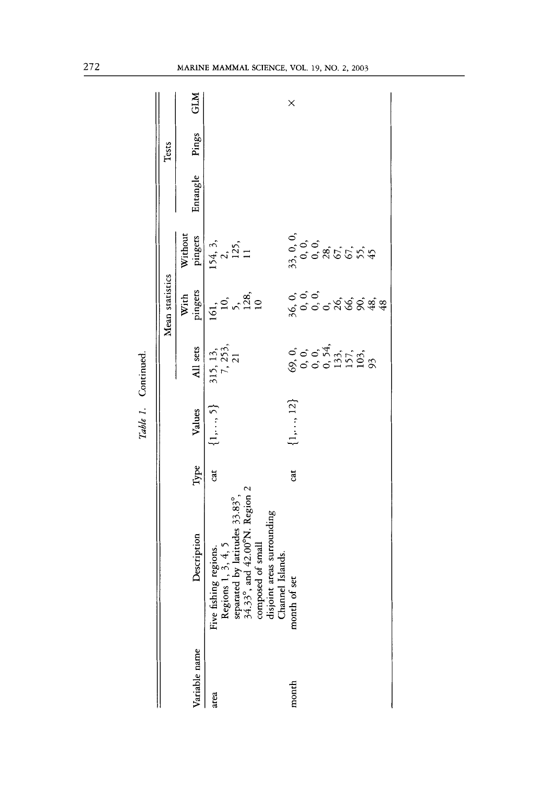|               |                                                                                                                                                                                                       |      |                     |                                 | Mean statistics                      |                             |          | Tests |            |
|---------------|-------------------------------------------------------------------------------------------------------------------------------------------------------------------------------------------------------|------|---------------------|---------------------------------|--------------------------------------|-----------------------------|----------|-------|------------|
| Variable name | Description                                                                                                                                                                                           | Type | Values              | All sets                        | With<br>pingers                      | Without<br>pingers          | Entangle | Pings | <b>GLM</b> |
| area          | Five fishing regions.<br>Regions 1, 3, 4, 5<br>separated by latitudes 33.83°,<br>34.33°, and 42.00°N. Region 2<br>composed of small<br>disjoint areas surrounding<br>Channel Islands.<br>month of set | đ    | $\{1,\ldots,5\}$    | $315, 13,$<br>$7, 253,$<br>$21$ | 10,80<br>161,                        | 154, 3,<br>2,<br>125,<br>11 |          |       |            |
| month         |                                                                                                                                                                                                       | a    | $\{1, \ldots, 12\}$ |                                 | င်္ဝင်္<br>၄င်္ဝင်္ဂလိုင်္လွင်္လွန္မ |                             |          |       | ×          |

Table 1. Continued. *Table 1.* Continued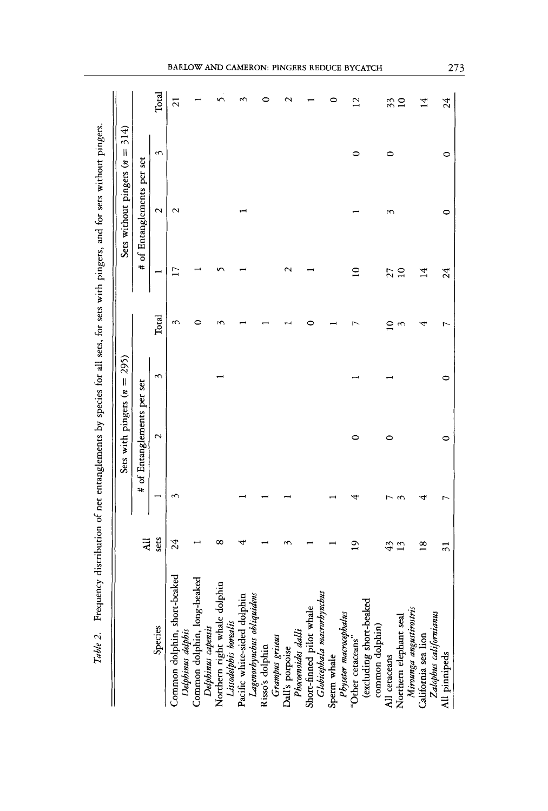|                                                                                                                                            |                 |   | Sets with pingers $(n =$ | 295)    |              |                 | Sets without pingers (n    | 314<br>$\parallel$ |                 |
|--------------------------------------------------------------------------------------------------------------------------------------------|-----------------|---|--------------------------|---------|--------------|-----------------|----------------------------|--------------------|-----------------|
|                                                                                                                                            | $\overline{AB}$ | # | of Entanglements per set |         |              |                 | # of Entanglements per set |                    |                 |
| Species                                                                                                                                    | sets            |   | $\mathbf{\sim}$          | ç       | Total        |                 | 2                          | S                  | Total           |
| Common dolphin, short-beaked<br>Delphinus delphis                                                                                          | 24              | ç |                          |         | ç            | 17              | $\sim$                     |                    | $\overline{2}1$ |
| Common dolphin, long-beaked<br>Delphinus capensis<br>Northern right whale dolphin<br>Lissoalalphis borealis<br>Pacific white-sided dolphin |                 |   |                          |         |              |                 |                            |                    |                 |
|                                                                                                                                            | ∝               |   |                          |         |              |                 |                            |                    |                 |
| Lagenorbynchus obliquidens                                                                                                                 |                 |   |                          |         |              |                 |                            |                    |                 |
| Grampus griseus<br>Risso's dolphin                                                                                                         |                 |   |                          |         |              |                 |                            |                    |                 |
| Dall's porpoise<br>Phocenoides dalli<br>Short-finned pilot whale<br>Gløbitephala macrorhynchus                                             |                 |   |                          |         |              |                 |                            |                    |                 |
|                                                                                                                                            |                 |   |                          |         |              |                 |                            |                    |                 |
| Sperm whale                                                                                                                                |                 |   |                          |         |              |                 |                            |                    |                 |
| Physeter macrocephalus<br>"Other cetaceans"                                                                                                | $\tilde{a}$     |   | 0                        |         |              | $\mathbf{a}$    |                            | 0                  | $^{12}$         |
| (excluding short-beaked<br>common dolphin)<br>All ceraceans                                                                                |                 |   |                          |         |              |                 |                            |                    |                 |
|                                                                                                                                            | 43              |   | 0                        |         | $\mathsf{D}$ | 27              |                            | 0                  | 33              |
| Northern elephant seal                                                                                                                     | $\frac{3}{2}$   |   |                          |         | ç            | $\overline{10}$ |                            |                    | $\overline{10}$ |
| Mirounga angustirostris<br>California sea lion<br>Zalopbus californianus                                                                   | $\frac{8}{16}$  |   |                          |         |              | $\overline{14}$ |                            |                    | $\vec{14}$      |
| All pinnipeds                                                                                                                              | $\overline{3}$  | r | $\circ$                  | $\circ$ | r            | 24              | ∊                          | $\circ$            | 24              |

BARLOW AND CAMERON: PINGERS REDUCE BYCATCH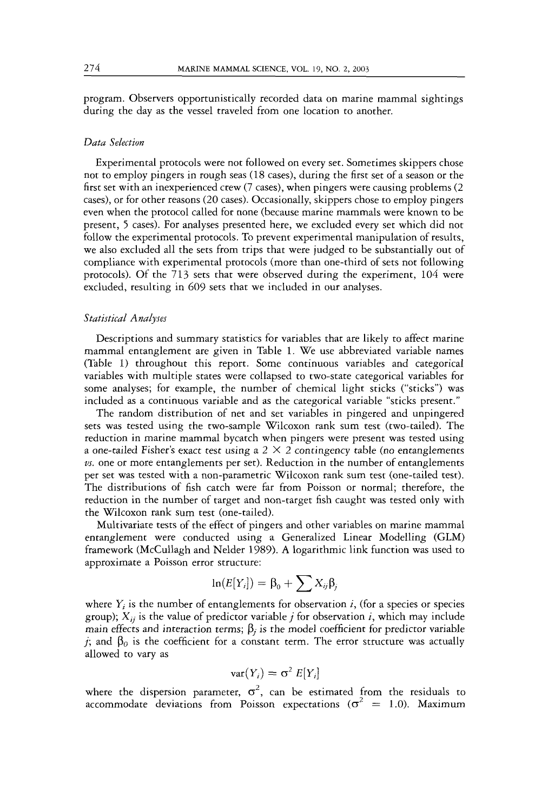program. Observers opportunistically recorded data on marine mammal sightings during the day as the vessel traveled from one location to another.

#### *Data Selection*

Experimental protocols were not followed on every set. Sometimes skippers chose not to employ pingers in rough seas (18 cases), during the first set of a season or the first set with an inexperienced crew (7 cases), when pingers were causing problems (2 cases), or for other reasons (20 cases). Occasionally, skippers chose to employ pingers even when the protocol called for none (because marine mammals were known to be present, *5* cases). For analyses presented here, we excluded every set which did not follow the experimental protocols. To prevent experimental manipulation of results, we also excluded all the sets from trips that were judged to be substantially out of compliance with experimental protocols (more than one-third of sets not following protocols). Of the 713 sets that were observed during the experiment, 104 were excluded, resulting in 609 sets that we included in our analyses.

#### *Statistical Analyses*

Descriptions and summary statistics for variables that are likely to affect marine mammal entanglement are given in Table 1. We use abbreviated variable names (Table 1) throughout this report. Some continuous variables and categorical variables with multiple states were collapsed to two-state categorical variables for some analyses; for example, the number of chemical light sticks ("sticks") was included as a continuous variable and as the categorical variable "sticks present."

The random distribution of net and set variables in pingered and unpingered sets was tested using the two-sample Wilcoxon rank sum test (two-tailed). The reduction in marine mammal bycatch when pingers were present was tested using a one-tailed Fisher's exact test using a  $2 \times 2$  contingency table (no entanglements *us.* one or more entanglements per set). Reduction in the number of entanglements per set was tested with a non-parametric Wilcoxon rank sum test (one-tailed test). The distributions of fish catch were far from Poisson or normal; therefore, the reduction in the number of target and non-target fish caught was tested only with the Wilcoxon rank sum test (one-tailed).

Multivariate tests of the effect of pingers and other variables on marine mammal entanglement were conducted using a Generalized Linear Modelling (GLM) framework (McCullagh and Nelder 1989). **A** logarithmic link function was used to approximate a Poisson error structure:

$$
\ln(E[Y_i]) = \beta_0 + \sum X_{ij}\beta_j
$$

where  $Y_i$  is the number of entanglements for observation *i*, (for a species or species group);  $X_{ii}$  is the value of predictor variable *j* for observation *i*, which may include main effects and interaction terms;  $\beta_i$  is the model coefficient for predictor variable *j*; and  $\beta_0$  is the coefficient for a constant term. The error structure was actually allowed to vary as

$$
\text{var}(Y_i) = \sigma^2 E[Y_i]
$$

where the dispersion parameter,  $\sigma^2$ , can be estimated from the residuals to accommodate deviations from Poisson expectations  $(\sigma^2 = 1.0)$ . Maximum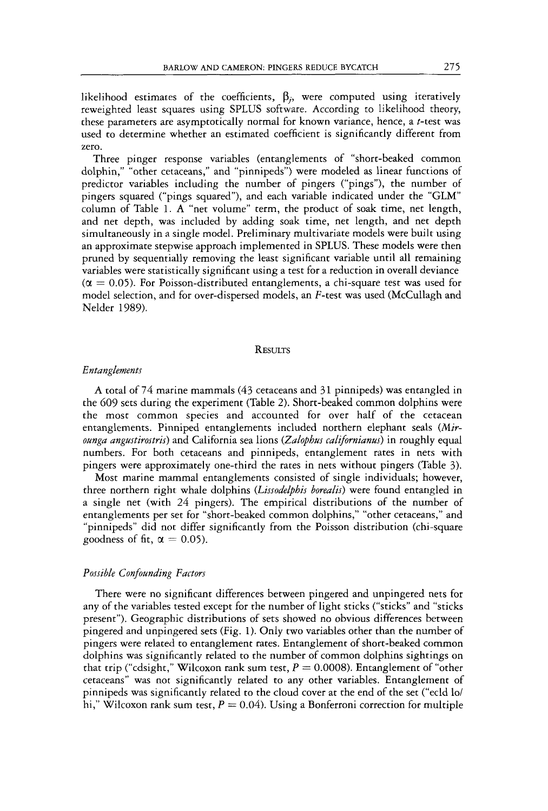likelihood estimates of the coefficients,  $\beta_i$ , were computed using iteratively reweighted least squares using SPLUS software. According to likelihood theory, these parameters are asymptotically normal for known variance, hence, a t-test was used to determine whether an estimated coefficient is significantly different from zero.

Three pinger response variables (entanglements of "short-beaked common dolphin," "other cetaceans," and "pinnipeds") were modeled as linear functions of predictor variables including the number of pingers ("pings"), the number of pingers squared ("pings squared"), and each variable indicated under the "GLM" column of Table 1. **A** "net volume" term, the product of *soak* time, net length, and net depth, was included by adding soak time, net length, and net depth simultaneously in a single model. Preliminary multivariate models were built using an approximate stepwise approach implemented in SPLUS. These models were then pruned by sequentially removing the least significant variable until all remaining variables were statistically significant using a test for a reduction in overall deviance  $(\alpha = 0.05)$ . For Poisson-distributed entanglements, a chi-square test was used for model selection, and for over-dispersed models, an F-test was used (McCullagh and Nelder 1989).

### **RESULTS**

#### *Entanglements*

**A** total of *74* marine mammals *(43* cetaceans and 3 1 pinnipeds) was entangled in the 609 sets during the experiment (Table *2).* Short-beaked common dolphins were the most common species and accounted for over half of the cetacean entanglements. Pinniped entanglements included northern elephant seals *(Mirounga angustirostris*) and California sea lions *(Zalophus californianus)* in roughly equal numbers. For both cetaceans and pinnipeds, entanglement rates in nets with pingers were approximately one-third the rates in nets without pingers (Table 3).

Most marine mammal entanglements consisted of single individuals; however, three northern right whale dolphins *(Lissodelphis borealis)* were found entangled in a single net (with *24* pingers). The empirical distributions of the number of entanglements per set for "short-beaked common dolphins," "other cetaceans," and "pinnipeds" did not differ significantly from the Poisson distribution (chi-square goodness of fit,  $\alpha = 0.05$ ).

#### *Possible Confounding Facton*

There were no significant differences between pingered and unpingered nets for any of the variables tested except for the number of light sticks ("sticks" and "sticks present"). Geographic distributions of sets showed no obvious differences between pingered and unpingered sets (Fig. 1). Only two variables other than the number of pingers were related to entanglement rates. Entanglement of short-beaked common dolphins was significantly related to the number of common dolphins sightings on that trip ("cdsight," Wilcoxon rank sum test,  $P = 0.0008$ ). Entanglement of "other cetaceans'' was not significantly related to any other variables. Entanglement of pinnipeds was significantly related to the cloud cover at the end of the set ("ecld lo/ hi," Wilcoxon rank sum test,  $P = 0.04$ ). Using a Bonferroni correction for multiple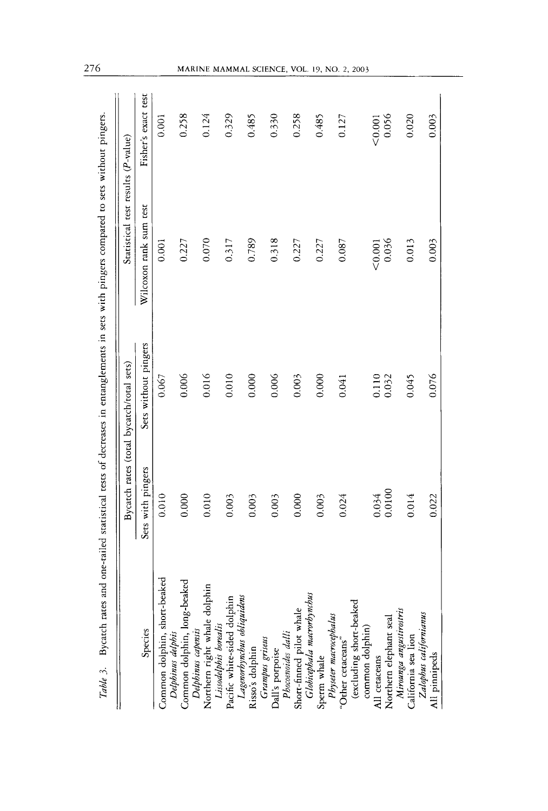|                                                                                                                                                                                       | Bycatch rates (total bycatch/total sets) | Statistical test results (P-value) |                     |
|---------------------------------------------------------------------------------------------------------------------------------------------------------------------------------------|------------------------------------------|------------------------------------|---------------------|
| Sets with pingers<br>Species                                                                                                                                                          | Sets without pingers                     | Wilcoxon rank sum rest             | Fisher's exact test |
| 0.010<br>Common dolphin, short-beaked                                                                                                                                                 | 0.067                                    | 0.001                              | 0.001               |
| 0.000<br>Delphinus delphis<br>Common dolphin, long-beaked                                                                                                                             | 0.006                                    | 0.227                              | 0.258               |
| 0.010                                                                                                                                                                                 | 0.016                                    | 0.070                              | 0.124               |
| 0.003<br>Delphinus capenis<br>Northern right whale dolphin<br>Lisodelphis borealis<br>Pacific white-sided dolphin<br>Lagenorbynchus obliquidens<br>Risso's dolphin<br>Grampus griseus | 0.010                                    | 0.317                              | 0.329               |
| 0.003                                                                                                                                                                                 | 0.000                                    | 0.789                              | 0.485               |
| 0.003                                                                                                                                                                                 | 0.006                                    | 0.318                              | 0.330               |
| 0.000<br>Dall's porpoise<br>Phocoencides dalli<br>Short-finned pilot whale<br><i>Globisephala marverhynchus</i><br>Sperm whale                                                        | 0.003                                    | 0.227                              | 0.258               |
| 0.003                                                                                                                                                                                 | 0.000                                    | 0.227                              | 0.485               |
| 0.024<br>Physter macrocephalus<br>"Other cetaceans"                                                                                                                                   | 0.041                                    | 0.087                              | 0.127               |
| (excluding short-beaked<br>common dolphin)                                                                                                                                            |                                          |                                    |                     |
| 0.034<br>All cetaceans                                                                                                                                                                | 0.110                                    | ${}_{0.001}$                       | 0.001               |
| 0.0100<br>Northern elephant seal<br>Mirounga angusitrostris                                                                                                                           | 0.032                                    | 0.036                              | 0.056               |
| 0.014<br>California sea lion                                                                                                                                                          | 0.045                                    | 0.013                              | 0.020               |
| 0.022<br>All pinnipeds                                                                                                                                                                | 0.076                                    | 0.003                              | 0.003               |
| Zalophus californianus                                                                                                                                                                |                                          |                                    |                     |

276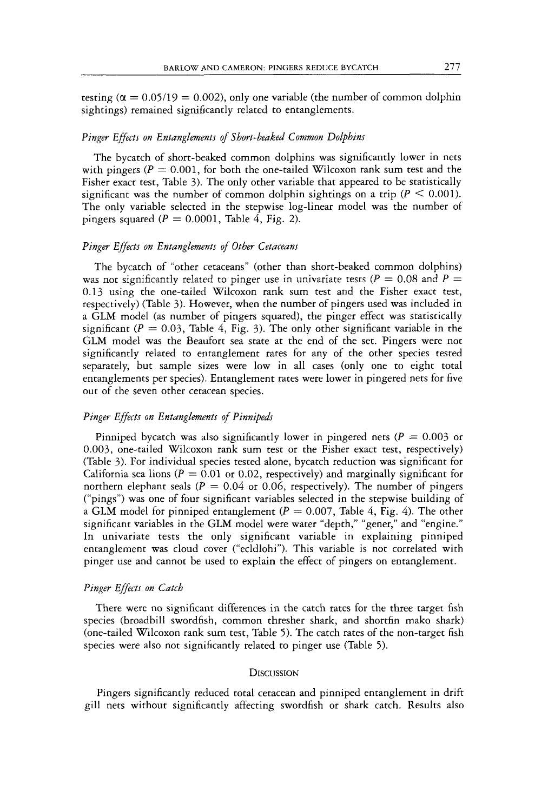testing  $(\alpha = 0.05/19 = 0.002)$ , only one variable (the number of common dolphin sightings) remained significantly related to entanglements.

#### Pinger Effects on Entanglements of Short-beaked Common Dolphins

The bycatch of short-beaked common dolphins was significantly lower in nets with pingers  $(P = 0.001$ , for both the one-tailed Wilcoxon rank sum test and the Fisher exact test, Table 3). The only other variable that appeared to be statistically significant was the number of common dolphin sightings on a trip  $(P \le 0.001)$ . The only variable selected in the stepwise log-linear model was the number of pingers squared  $(P = 0.0001$ , Table 4, Fig. 2).

#### *Pinger Effects on Entanglements of Other Cetaceans*

The bycatch of "other cetaceans" (other than short-beaked common dolphins) was not significantly related to pinger use in univariate tests  $(P = 0.08$  and  $P =$ 0.13 using the one-tailed Wilcoxon rank sum test and the Fisher exact test, respectively) (Table 3). However, when the number of pingers used was included in a GLM model (as number of pingers squared), the pinger effect was statistically significant  $(P = 0.03$ , Table 4, Fig. 3). The only other significant variable in the GLM model was the Beaufort sea state at the end of the set. Pingers were not significantly related to entanglement rates for any of the other species tested separately, but sample sizes were low in all cases (only one to eight total entanglements per species). Entanglement rates were lower in pingered nets for five out of the seven other cetacean species.

#### *Pinger Effects on Entanglements of Pinnipeds*

Pinniped bycatch was also significantly lower in pingered nets  $(P = 0.003$  or 0.003, one-tailed Wilcoxon rank sum test or the Fisher exact test, respectively) (Table 3). For individual species tested alone, bycatch reduction was significant for California sea lions  $(P = 0.01$  or 0.02, respectively) and marginally significant for northern elephant seals  $(P = 0.04$  or 0.06, respectively). The number of pingers ("pings") was one of four significant variables selected in the stepwise building of a GLM model for pinniped entanglement  $(P = 0.007,$  Table 4, Fig. 4). The other significant variables in the GLM model were water "depth," "gener," and "engine." In univariate tests the only significant variable in explaining pinniped entanglement was cloud cover ("ecldlohi"). This variable is not correlated with pinget use and cannot be used to explain the effect of pingers on entanglement.

#### **Pinger Effects on Catch**

There were no significant differences in the catch rates for the three target fish species (broadbill swordfish, common thresher shark, and shortfin mako shark) (one-tailed Wilcoxon tank sum test, Table *5).* The catch rates of the non-target fish species were also not significantly related to pinger use (Table 5).

#### **DISCUSSION**

Pingers significantly reduced total cetacean and pinniped entanglement in drift gill nets without significantly affecting swordfish or shark catch. Results also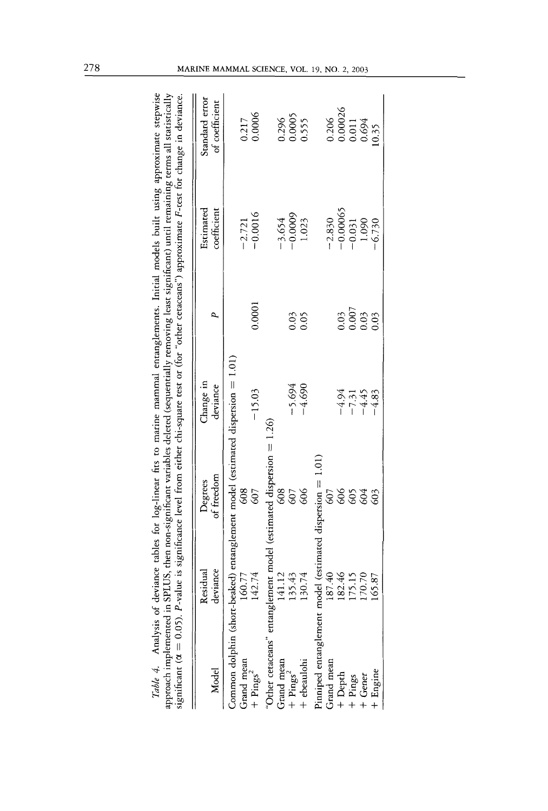| The company will be a series of the company of the series of the company of the company of the company of the company of the company of the company of the company of the company of the company of the company of the company |                      |                                                                                       | на предлага со предлага со предлага со предлага со предлага со предлага со предлага со предлага со предлага со предлага со предлага со предлага со предлага со предлага со предлага со предлага со предлага со предлага со пре<br>significant ( $\alpha = 0.05$ ). P-value is significance level from either chi-square rest or (for "other cetaceans") approximate F-rest for change in deviance. |                                              |                             |                                                                   |
|--------------------------------------------------------------------------------------------------------------------------------------------------------------------------------------------------------------------------------|----------------------|---------------------------------------------------------------------------------------|----------------------------------------------------------------------------------------------------------------------------------------------------------------------------------------------------------------------------------------------------------------------------------------------------------------------------------------------------------------------------------------------------|----------------------------------------------|-----------------------------|-------------------------------------------------------------------|
| Model                                                                                                                                                                                                                          | deviance<br>Residual | of freedom<br>Degrees                                                                 | Change in<br>deviance                                                                                                                                                                                                                                                                                                                                                                              |                                              | Estimated<br>coefficient    | Standard error<br>of coefficient                                  |
|                                                                                                                                                                                                                                | 160.77               | Common dolphin (short-beaked) entanglement model (estimated dispersion = 1.01)<br>608 |                                                                                                                                                                                                                                                                                                                                                                                                    |                                              | $-2.721$                    |                                                                   |
| Grand mean<br>+ Pings <sup>2</sup>                                                                                                                                                                                             | 142.74               | 607                                                                                   | $-15.03$                                                                                                                                                                                                                                                                                                                                                                                           | 0.0001                                       | $-0.0016$                   | $\frac{0.217}{0.0006}$                                            |
|                                                                                                                                                                                                                                |                      | 'Other cetaceans'' entanglement model (estimated dispersion $= 1.26$ )                |                                                                                                                                                                                                                                                                                                                                                                                                    |                                              |                             |                                                                   |
| Grand mean                                                                                                                                                                                                                     | 141.12               | 608                                                                                   |                                                                                                                                                                                                                                                                                                                                                                                                    |                                              | $-3.654$                    |                                                                   |
| $+$ Pings <sup>2</sup>                                                                                                                                                                                                         | 35.43                | 607                                                                                   | $-5.694$                                                                                                                                                                                                                                                                                                                                                                                           |                                              | $-0.0009$                   |                                                                   |
| + ebeaulohi                                                                                                                                                                                                                    | 30.74                | 606                                                                                   | $-4.690$                                                                                                                                                                                                                                                                                                                                                                                           | 0.03                                         | 1.023                       | 0.296<br>0.0005<br>0.555                                          |
|                                                                                                                                                                                                                                |                      | Pinniped entanglement model (estimated dispersion = 1.01)                             |                                                                                                                                                                                                                                                                                                                                                                                                    |                                              |                             |                                                                   |
| Grand mean                                                                                                                                                                                                                     | 87.40                | 509                                                                                   |                                                                                                                                                                                                                                                                                                                                                                                                    |                                              | $-2.830$                    | 0.206                                                             |
|                                                                                                                                                                                                                                | 82.46                | 606                                                                                   |                                                                                                                                                                                                                                                                                                                                                                                                    |                                              | $-0.00065$                  |                                                                   |
| $+$ Depth<br>$+$ Pings<br>$+$ Gener                                                                                                                                                                                            | 75.15                | 605                                                                                   | $-4.94$<br>$-7.31$<br>$-4.45$                                                                                                                                                                                                                                                                                                                                                                      | $\begin{array}{c} 0.03 \\ 0.007 \end{array}$ |                             |                                                                   |
|                                                                                                                                                                                                                                | 70.70                | 604                                                                                   |                                                                                                                                                                                                                                                                                                                                                                                                    | 0.03                                         |                             |                                                                   |
| + Engine                                                                                                                                                                                                                       | 65.87                | 603                                                                                   | $-4.83$                                                                                                                                                                                                                                                                                                                                                                                            | 0.03                                         | $-0.031$<br>1.090<br>-6.730 | $\begin{array}{c} 0.00026 \\ 0.011 \\ 0.694 \\ 10.35 \end{array}$ |

Table 4. Analysis of deviance tables for log-linear fits to marine mammal entanglements. Initial models built using approximate stepwise deviance tables for log-linear fits to marine mammal entanglements. Initial models built using approximate stepwise approach implemented in SPLUS, then non-significant variables deleted (sequentially removing least significant) until remaining terms all statistically SPLUS, then non-significant variables deleted (sequentially removing least significant) until remaining terms all statistically

*Table 4.* Analysis of approach implemented in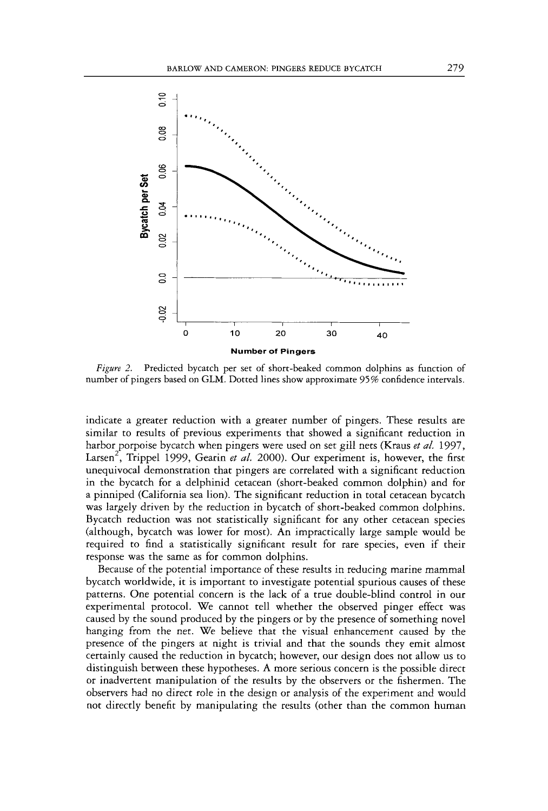

*Figure 2.* Predicted bycatch per set of short-beaked common dolphins as function of number of pingers based on GLM. Dotted lines show approximate 95% confidence intervals.

indicate a greater reduction with a greater number of pingers. These results are similar to results of previous experiments that showed a significant reduction in harbor porpoise bycatch when pingers were used on set gill nets (Kraus *et al.* 1997, Larsen', Trippel 1999, Gearin *et al.* 2000). Our experiment is, however, the first unequivocal demonstration that pingers are correlated with a significant reduction in the bycatch for a delphinid cetacean (short-beaked common dolphin) and for a pinniped (California sea lion). The significant reduction in total cetacean bycatch was largely driven by the reduction in bycatch of short-beaked common dolphins. Bycatch reduction was not statistically significant for any other cetacean species (although, bycatch was lower for most). An impractically large sample would be required to find a statistically significant result for rare species, even if their response was the same as for common dolphins.

Because of the potential importance of these results in reducing marine mammal bycatch worldwide, it is important to investigate potential spurious causes of these patterns. One potential concern is the lack of a true double-blind control in our experimental protocol. We cannot tell whether the observed pinger effect was caused by the sound produced by the pingers or by the presence of something novel hanging from the net. We believe that the visual enhancement caused by the presence of the pingers at night is trivial and that the sounds they emit almost certainly caused the reduction in bycatch; however, out design does not allow us to distinguish between these hypotheses. A more serious concern is the possible direct or inadvertent manipulation of the results by the observers or the fishermen. The observers had no direct role in the design or analysis of the experiment and would not directly benefit by manipulating the results (other than the common human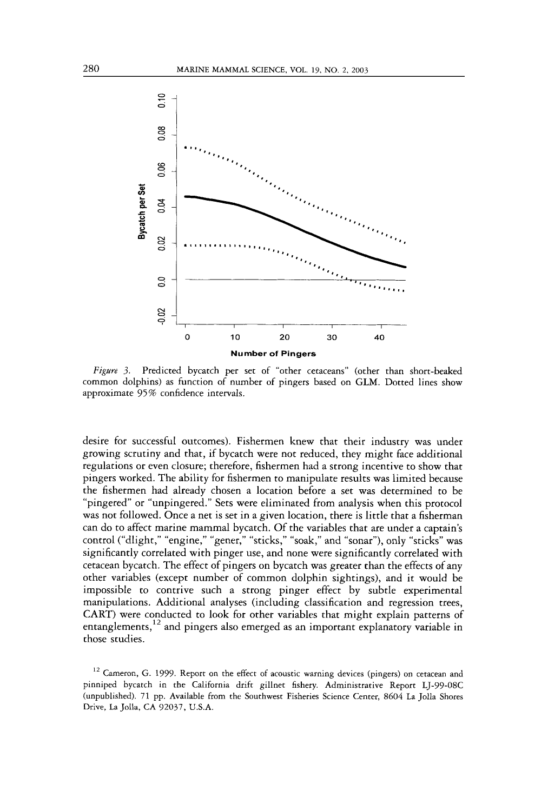

*Figare 3.* Predicted bycatch per set of "other cetaceans'' (other than short-beaked common dolphins) as function of number of pingers based on GLM. Dotted lines show approximate 95% confidence intervals.

desire for successful outcomes). Fishermen knew that their industry was under growing scrutiny and that, if bycatch were not reduced, they might face additional regulations or even closure; therefore, fishermen had a strong incentive to show that pingers worked. The ability for fishermen to manipulate results was limited because the fishermen had already chosen a location before a set was determined to be "pingered" or "unpingered." Sets were eliminated from analysis when this protocol was not followed. Once a net is set in a given location, there is little that a fisherman can do to affect marine mammal bycatch. Of the variables that are under a captain's control ("dlight," "engine," "gener," "sticks," "soak," and "sonar"), only "sticks" was significantly correlated with pinger use, and none were significantly correlated with cetacean bycatch. The effect of pingers on bycatch was greater than the effects of any other variables (except number of common dolphin sightings), and it would be impossible to contrive such a strong pinger effect by subtle experimental manipulations. Additional analyses (including classification and regression trees, CART) were conducted to **look** for other variables that might explain patterns of entanglements,  $12$  and pingers also emerged as an important explanatory variable in those studies.

 $12$  Cameron, G. 1999. Report on the effect of acoustic warning devices (pingers) on cetacean and pinniped bycatch in the California drift gillnet fishery. Administrative Report LJ-99-08C (unpublished). 71 pp. Available from the Southwest Fisheries Science Center, *8604* La Jolla Shores Drive, La Jolla, CA 92037, U.S.A.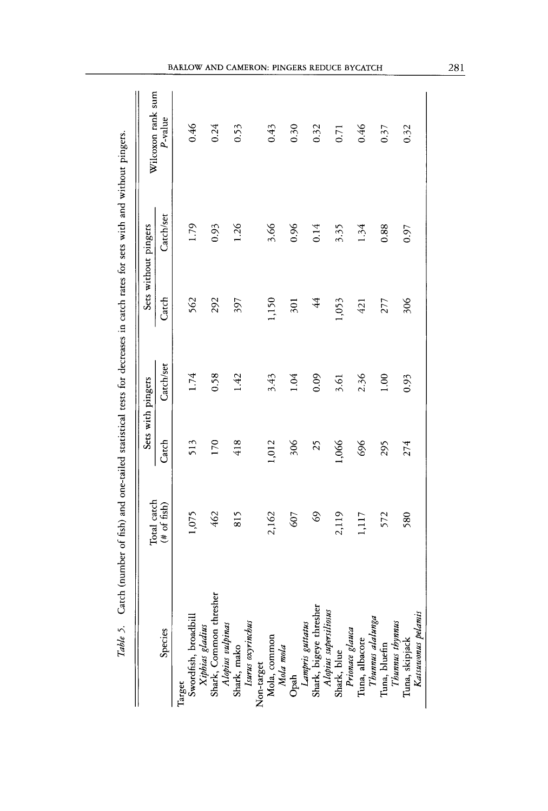|                                                                                                                                | Table 5. Catch (number of fish) and one-tailed statistical tests for decreases in catch rates for sets with and without pingers. |       |                   |                |                      |                   |
|--------------------------------------------------------------------------------------------------------------------------------|----------------------------------------------------------------------------------------------------------------------------------|-------|-------------------|----------------|----------------------|-------------------|
|                                                                                                                                | Total catch                                                                                                                      |       | Sets with pingers |                | Sets without pingers | Wilcoxon rank sum |
| Species                                                                                                                        | $(4 \text{ of } 6 \text{sh})$                                                                                                    | Catch | Catch/set         | Catch          | Catch/set            | P-value           |
| Target                                                                                                                         |                                                                                                                                  |       |                   |                |                      |                   |
|                                                                                                                                | 1,075                                                                                                                            | 513   | 1.74              | 562            | 1.79                 | 0.46              |
| rangor<br>Swordfish, broadbill<br>X <i>iphias gladius</i><br>Shark, Common thresher<br>A <i>lopius vulpinas</i><br>Shark, mako | 462                                                                                                                              | 170   | 0.58              | 292            | 0.93                 | 0.24              |
| Isurus oxyrinchus                                                                                                              | 815                                                                                                                              | 418   | 1.42              | 597            | 1.26                 | 0.53              |
|                                                                                                                                |                                                                                                                                  |       |                   |                |                      |                   |
| Non-target<br>Mola, common<br>Mola mola                                                                                        | 2,162                                                                                                                            | 1,012 | 3.43              | 1,150          | 3.66                 | 0.43              |
|                                                                                                                                | 607                                                                                                                              | 306   | 1.04              | 501            | 0.96                 | 0.30              |
|                                                                                                                                |                                                                                                                                  |       |                   |                |                      |                   |
| Opah<br>L <i>ampris guttatus</i><br>Shark, bigeye thresher<br>A <i>lopius supersitiosus</i><br>Shark, blue<br>Prionaae glauca  | $\mathcal{S}^9$                                                                                                                  | 25    | 0.09              | $\overline{4}$ | 0.14                 | 0.32              |
|                                                                                                                                | 2,119                                                                                                                            | 1,066 | 3.61              | 1,053          | 3.35                 | 0.71              |
|                                                                                                                                |                                                                                                                                  |       |                   | 421            |                      |                   |
| Tuna, albacore                                                                                                                 | 1,117                                                                                                                            | 696   | 2.36              |                | 1.34                 | 0.46              |
| Thunnus alalunga<br>Tuna, bluefin<br>Thunnus thynnus                                                                           | 572                                                                                                                              | 295   | 1.00              | 277            | 0.88                 | 0.37              |
|                                                                                                                                |                                                                                                                                  | 274   |                   |                |                      |                   |
| Katsuwonus pelamis<br>Tuna, skipjack                                                                                           | 580                                                                                                                              |       | 0.93              | 306            | 0.97                 | 0.32              |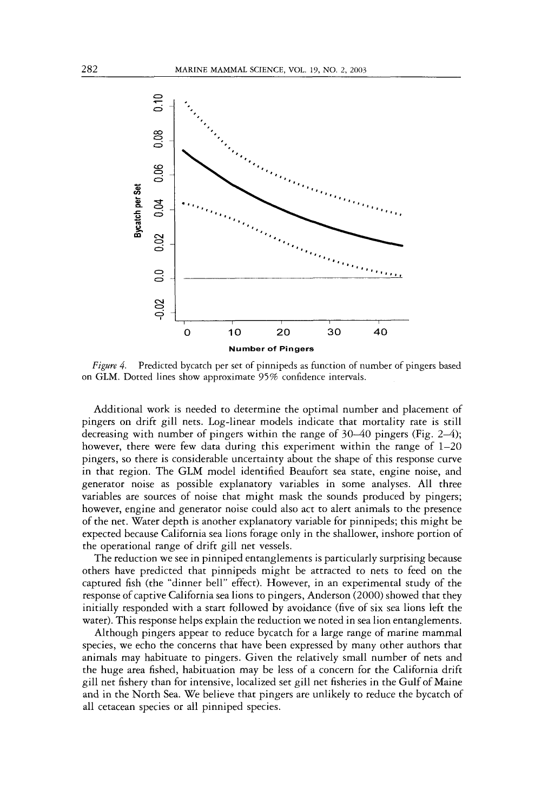

*Figure 4.* Predicted bycatch per set of pinnipeds as function of number of pingers based on GLM. Dotted lines show approximate 95% confidence intervals.

Additional work is needed to determine the optimal number and placement of pingers on drift gill nets. Log-linear models indicate that mortality rate is still decreasing with number of pingers within the range of 30–40 pingers (Fig. 2–4); however, there were few data during this experiment within the range of  $1-20$ pingers, so there is considerable uncertainty about the shape of this response curve in that region. The GLM model identified Beaufort sea state, engine noise, and generator noise as possible explanatory variables in some analyses. All three variables are sources of noise that might mask the sounds produced by pingers; however, engine and generator noise could also act to alert animals to the presence of the net. Water depth is another explanatory variable for pinnipeds; this might be expected because California sea lions forage only in the shallower, inshore portion of the operational range of drift gill net vessels.

The reduction we see in pinniped entanglements is particularly surprising because others have predicted that pinnipeds might be attracted to nets to feed on the captured fish (the "dinner bell" effect). However, in an experimental study of the response of captive California sea lions to pingers, Anderson (2000) showed that they initially responded with a start followed by avoidance (five of six sea lions left the water). This response helps explain the reduction we noted in sea lion entanglements.

Although pingers appear to reduce bycatch for a large range of marine mammal species, we echo the concerns that have been expressed by many other authors that animals may habituate to pingers. Given the relatively small number of nets and the huge area fished, habituation may be less of a concern for the California drift gill net fishery than for intensive, localized set gill net fisheries in the Gulf of Maine and in the North Sea. We believe that pingers are unlikely to reduce the bycatch of all cetacean species or all pinniped species.